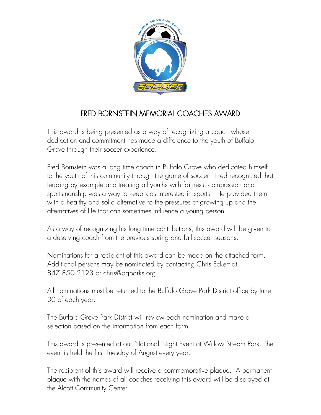

## FRED BORNSTEIN MEMORIAL COACHES AWARD

This award is being presented as a way of recognizing a coach whose dedication and commitment has made a difference to the youth of Buffalo Grove through their soccer experience.

Fred Bornstein was a long time coach in Buffalo Grove who dedicated himself to the youth of this community through the game of soccer. Fred recognized that leading by example and treating all youths with fairness, compassion and sportsmanship was a way to keep kids interested in sports. He provided them with a healthy and solid alternative to the pressures of growing up and the alternatives of life that can sometimes influence a young person.

As a way of recognizing his long time contributions, this award will be given to a deserving coach from the previous spring and fall soccer seasons.

Nominations for a recipient of this award can be made on the attached form. Additional persons may be nominated by contacting Chris Eckert at 847.850.2123 or chris@bgparks.org.

All nominations must be returned to the Buffalo Grove Park District office by June 30 of each year.

The Buffalo Grove Park District will review each nomination and make a selection based on the information from each form.

This award is presented at our National Night Event at Willow Stream Park. The event is held the first Tuesday of August every year.

The recipient of this award will receive a commemorative plaque. A permanent plaque with the names of all coaches receiving this award will be displayed at the Alcott Community Center.